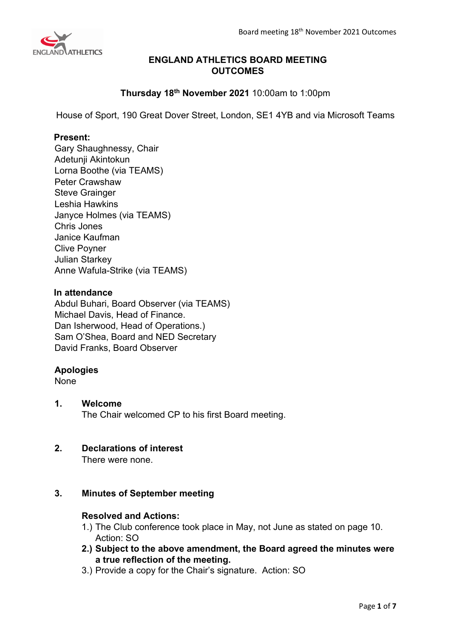

# **ENGLAND ATHLETICS BOARD MEETING OUTCOMES**

# **Thursday 18th November 2021** 10:00am to 1:00pm

House of Sport, 190 Great Dover Street, London, SE1 4YB and via Microsoft Teams

## **Present:**

Gary Shaughnessy, Chair Adetunji Akintokun Lorna Boothe (via TEAMS) Peter Crawshaw Steve Grainger Leshia Hawkins Janyce Holmes (via TEAMS) Chris Jones Janice Kaufman Clive Poyner Julian Starkey Anne Wafula-Strike (via TEAMS)

## **In attendance**

Abdul Buhari, Board Observer (via TEAMS) Michael Davis, Head of Finance. Dan Isherwood, Head of Operations.) Sam O'Shea, Board and NED Secretary David Franks, Board Observer

## **Apologies**

None

# **1. Welcome**

The Chair welcomed CP to his first Board meeting.

## **2. Declarations of interest**

There were none.

## **3. Minutes of September meeting**

#### **Resolved and Actions:**

- 1.) The Club conference took place in May, not June as stated on page 10. Action: SO
- **2.) Subject to the above amendment, the Board agreed the minutes were a true reflection of the meeting.**
- 3.) Provide a copy for the Chair's signature. Action: SO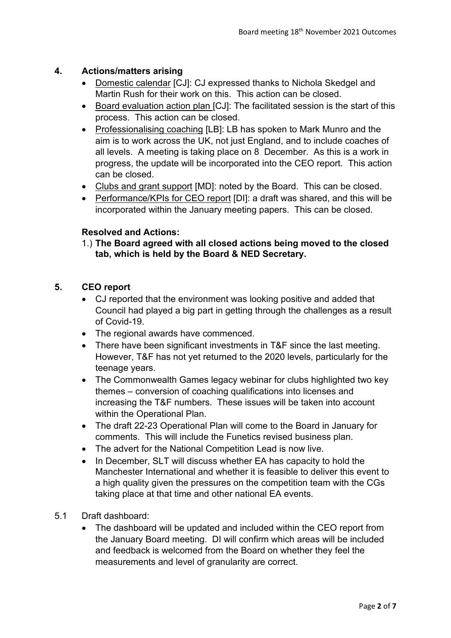# **4. Actions/matters arising**

- Domestic calendar [CJ]: CJ expressed thanks to Nichola Skedgel and Martin Rush for their work on this. This action can be closed.
- Board evaluation action plan [CJ]: The facilitated session is the start of this process. This action can be closed.
- Professionalising coaching [LB]: LB has spoken to Mark Munro and the aim is to work across the UK, not just England, and to include coaches of all levels. A meeting is taking place on 8 December. As this is a work in progress, the update will be incorporated into the CEO report. This action can be closed.
- Clubs and grant support [MD]: noted by the Board. This can be closed.
- Performance/KPIs for CEO report [DI]: a draft was shared, and this will be incorporated within the January meeting papers. This can be closed.

# **Resolved and Actions:**

1.) **The Board agreed with all closed actions being moved to the closed tab, which is held by the Board & NED Secretary.**

# **5. CEO report**

- CJ reported that the environment was looking positive and added that Council had played a big part in getting through the challenges as a result of Covid-19.
- The regional awards have commenced.
- There have been significant investments in T&F since the last meeting. However, T&F has not yet returned to the 2020 levels, particularly for the teenage years.
- The Commonwealth Games legacy webinar for clubs highlighted two key themes – conversion of coaching qualifications into licenses and increasing the T&F numbers. These issues will be taken into account within the Operational Plan.
- The draft 22-23 Operational Plan will come to the Board in January for comments. This will include the Funetics revised business plan.
- The advert for the National Competition Lead is now live.
- In December, SLT will discuss whether EA has capacity to hold the Manchester International and whether it is feasible to deliver this event to a high quality given the pressures on the competition team with the CGs taking place at that time and other national EA events.
- 5.1 Draft dashboard:
	- The dashboard will be updated and included within the CEO report from the January Board meeting. DI will confirm which areas will be included and feedback is welcomed from the Board on whether they feel the measurements and level of granularity are correct.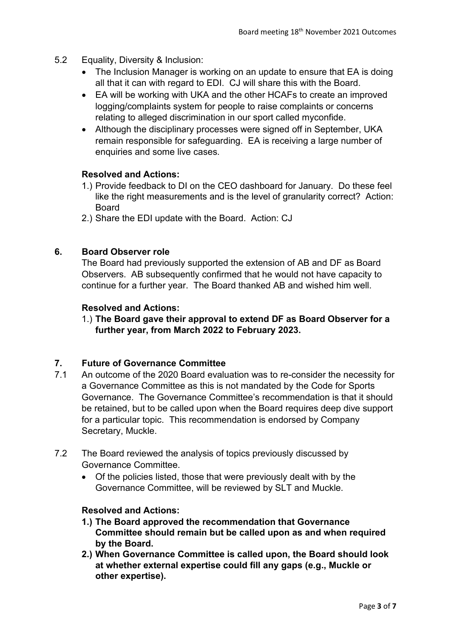- 5.2 Equality, Diversity & Inclusion:
	- The Inclusion Manager is working on an update to ensure that EA is doing all that it can with regard to EDI. CJ will share this with the Board.
	- EA will be working with UKA and the other HCAFs to create an improved logging/complaints system for people to raise complaints or concerns relating to alleged discrimination in our sport called myconfide.
	- Although the disciplinary processes were signed off in September, UKA remain responsible for safeguarding. EA is receiving a large number of enquiries and some live cases.

#### **Resolved and Actions:**

- 1.) Provide feedback to DI on the CEO dashboard for January. Do these feel like the right measurements and is the level of granularity correct? Action: Board
- 2.) Share the EDI update with the Board. Action: CJ

## **6. Board Observer role**

The Board had previously supported the extension of AB and DF as Board Observers. AB subsequently confirmed that he would not have capacity to continue for a further year. The Board thanked AB and wished him well.

#### **Resolved and Actions:**

1.) **The Board gave their approval to extend DF as Board Observer for a further year, from March 2022 to February 2023.** 

#### **7. Future of Governance Committee**

- 7.1 An outcome of the 2020 Board evaluation was to re-consider the necessity for a Governance Committee as this is not mandated by the Code for Sports Governance. The Governance Committee's recommendation is that it should be retained, but to be called upon when the Board requires deep dive support for a particular topic. This recommendation is endorsed by Company Secretary, Muckle.
- 7.2 The Board reviewed the analysis of topics previously discussed by Governance Committee.
	- Of the policies listed, those that were previously dealt with by the Governance Committee, will be reviewed by SLT and Muckle.

#### **Resolved and Actions:**

- **1.) The Board approved the recommendation that Governance Committee should remain but be called upon as and when required by the Board.**
- **2.) When Governance Committee is called upon, the Board should look at whether external expertise could fill any gaps (e.g., Muckle or other expertise).**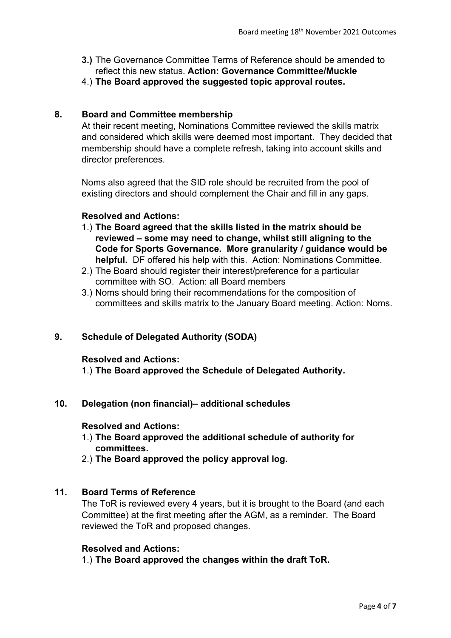- **3.)** The Governance Committee Terms of Reference should be amended to reflect this new status. **Action: Governance Committee/Muckle**
- 4.) **The Board approved the suggested topic approval routes.**

## **8. Board and Committee membership**

At their recent meeting, Nominations Committee reviewed the skills matrix and considered which skills were deemed most important. They decided that membership should have a complete refresh, taking into account skills and director preferences.

Noms also agreed that the SID role should be recruited from the pool of existing directors and should complement the Chair and fill in any gaps.

## **Resolved and Actions:**

- 1.) **The Board agreed that the skills listed in the matrix should be reviewed – some may need to change, whilst still aligning to the Code for Sports Governance. More granularity / guidance would be helpful.** DF offered his help with this. Action: Nominations Committee.
- 2.) The Board should register their interest/preference for a particular committee with SO. Action: all Board members
- 3.) Noms should bring their recommendations for the composition of committees and skills matrix to the January Board meeting. Action: Noms.

## **9. Schedule of Delegated Authority (SODA)**

#### **Resolved and Actions:**

1.) **The Board approved the Schedule of Delegated Authority.**

## **10. Delegation (non financial)– additional schedules**

#### **Resolved and Actions:**

- 1.) **The Board approved the additional schedule of authority for committees.**
- 2.) **The Board approved the policy approval log.**

## **11. Board Terms of Reference**

The ToR is reviewed every 4 years, but it is brought to the Board (and each Committee) at the first meeting after the AGM, as a reminder. The Board reviewed the ToR and proposed changes.

#### **Resolved and Actions:**

1.) **The Board approved the changes within the draft ToR.**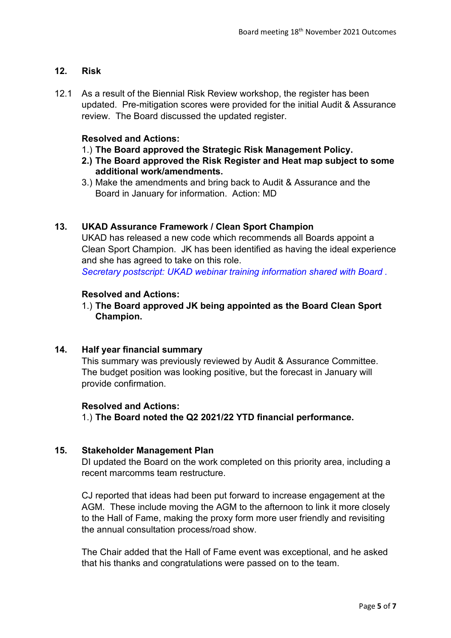# **12. Risk**

12.1 As a result of the Biennial Risk Review workshop, the register has been updated. Pre-mitigation scores were provided for the initial Audit & Assurance review. The Board discussed the updated register.

# **Resolved and Actions:**

- 1.) **The Board approved the Strategic Risk Management Policy.**
- **2.) The Board approved the Risk Register and Heat map subject to some additional work/amendments.**
- 3.) Make the amendments and bring back to Audit & Assurance and the Board in January for information. Action: MD

# **13. UKAD Assurance Framework / Clean Sport Champion**

UKAD has released a new code which recommends all Boards appoint a Clean Sport Champion. JK has been identified as having the ideal experience and she has agreed to take on this role.

*Secretary postscript: UKAD webinar training information shared with Board .*

## **Resolved and Actions:**

1.) **The Board approved JK being appointed as the Board Clean Sport Champion.**

## **14. Half year financial summary**

This summary was previously reviewed by Audit & Assurance Committee. The budget position was looking positive, but the forecast in January will provide confirmation.

#### **Resolved and Actions:**

1.) **The Board noted the Q2 2021/22 YTD financial performance.**

## **15. Stakeholder Management Plan**

DI updated the Board on the work completed on this priority area, including a recent marcomms team restructure.

CJ reported that ideas had been put forward to increase engagement at the AGM. These include moving the AGM to the afternoon to link it more closely to the Hall of Fame, making the proxy form more user friendly and revisiting the annual consultation process/road show.

The Chair added that the Hall of Fame event was exceptional, and he asked that his thanks and congratulations were passed on to the team.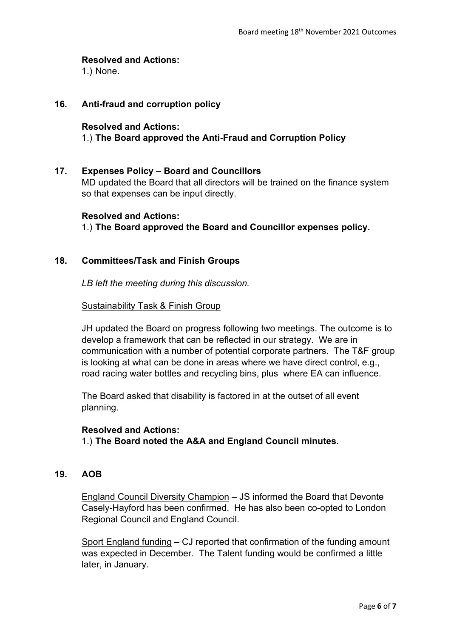## **Resolved and Actions:**

1.) None.

# **16. Anti-fraud and corruption policy**

#### **Resolved and Actions:**

# 1.) **The Board approved the Anti-Fraud and Corruption Policy**

#### **17. Expenses Policy – Board and Councillors**

MD updated the Board that all directors will be trained on the finance system so that expenses can be input directly.

#### **Resolved and Actions:**

1.) **The Board approved the Board and Councillor expenses policy.**

#### **18. Committees/Task and Finish Groups**

*LB left the meeting during this discussion.*

#### Sustainability Task & Finish Group

JH updated the Board on progress following two meetings. The outcome is to develop a framework that can be reflected in our strategy. We are in communication with a number of potential corporate partners. The T&F group is looking at what can be done in areas where we have direct control, e.g., road racing water bottles and recycling bins, plus where EA can influence.

The Board asked that disability is factored in at the outset of all event planning.

#### **Resolved and Actions:**

1.) **The Board noted the A&A and England Council minutes.**

## **19. AOB**

England Council Diversity Champion – JS informed the Board that Devonte Casely-Hayford has been confirmed. He has also been co-opted to London Regional Council and England Council.

Sport England funding – CJ reported that confirmation of the funding amount was expected in December. The Talent funding would be confirmed a little later, in January.